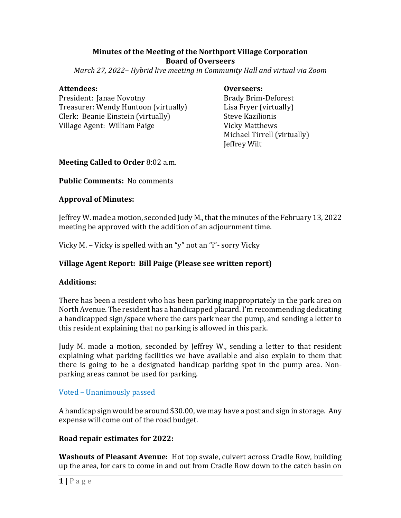### **Minutes of the Meeting of the Northport Village Corporation Board of Overseers**

*March 27, 2022– Hybrid live meeting in Community Hall and virtual via Zoom*

#### Attendees:  **Overseers:**

President: Janae Novotny **Brady Brady Brim-Deforest** Treasurer: Wendy Huntoon (virtually) Lisa Fryer (virtually) Clerk: Beanie Einstein (virtually) Steve Kazilionis Village Agent: William Paige Vicky Matthews

**Michael Tirrell (virtually)** Jeffrey Wilt

### **Meeting Called to Order** 8:02 a.m.

**Public Comments:** No comments

### **Approval of Minutes:**

Jeffrey W. made a motion, seconded Judy M., that the minutes of the February 13, 2022 meeting be approved with the addition of an adjournment time.

Vicky M. – Vicky is spelled with an "y" not an "i"- sorry Vicky

# **Village Agent Report: Bill Paige (Please see written report)**

#### **Additions:**

There has been a resident who has been parking inappropriately in the park area on North Avenue. The resident has a handicapped placard. I'm recommending dedicating a handicapped sign/space where the cars park near the pump, and sending a letter to this resident explaining that no parking is allowed in this park.

Judy M. made a motion, seconded by Jeffrey W., sending a letter to that resident explaining what parking facilities we have available and also explain to them that there is going to be a designated handicap parking spot in the pump area. Nonparking areas cannot be used for parking.

# Voted – Unanimously passed

A handicap sign would be around \$30.00, we may have a post and sign in storage. Any expense will come out of the road budget.

# **Road repair estimates for 2022:**

**Washouts of Pleasant Avenue:** Hot top swale, culvert across Cradle Row, building up the area, for cars to come in and out from Cradle Row down to the catch basin on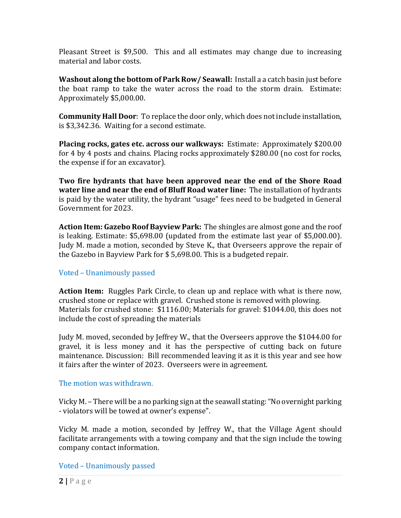Pleasant Street is \$9,500. This and all estimates may change due to increasing material and labor costs.

**Washout along the bottom of Park Row/ Seawall:** Install a a catch basin just before the boat ramp to take the water across the road to the storm drain. Estimate: Approximately \$5,000.00.

**Community Hall Door**: To replace the door only, which does not include installation, is \$3,342.36. Waiting for a second estimate.

**Placing rocks, gates etc. across our walkways:** Estimate: Approximately \$200.00 for 4 by 4 posts and chains. Placing rocks approximately \$280.00 (no cost for rocks, the expense if for an excavator).

**Two fire hydrants that have been approved near the end of the Shore Road water line and near the end of Bluff Road water line:** The installation of hydrants is paid by the water utility, the hydrant "usage" fees need to be budgeted in General Government for 2023.

**Action Item: Gazebo Roof Bayview Park:** The shingles are almost gone and the roof is leaking. Estimate: \$5,698.00 (updated from the estimate last year of \$5,000.00). Judy M. made a motion, seconded by Steve K., that Overseers approve the repair of the Gazebo in Bayview Park for \$ 5,698.00. This is a budgeted repair.

# Voted – Unanimously passed

Action Item: Ruggles Park Circle, to clean up and replace with what is there now, crushed stone or replace with gravel. Crushed stone is removed with plowing. Materials for crushed stone: \$1116.00; Materials for gravel: \$1044.00, this does not include the cost of spreading the materials

Judy M. moved, seconded by Jeffrey W., that the Overseers approve the \$1044.00 for gravel, it is less money and it has the perspective of cutting back on future maintenance. Discussion: Bill recommended leaving it as it is this year and see how it fairs after the winter of 2023. Overseers were in agreement.

#### The motion was withdrawn.

Vicky M. – There will be a no parking sign at the seawall stating: "No overnight parking - violators will be towed at owner's expense".

Vicky M. made a motion, seconded by Jeffrey W., that the Village Agent should facilitate arrangements with a towing company and that the sign include the towing company contact information.

Voted – Unanimously passed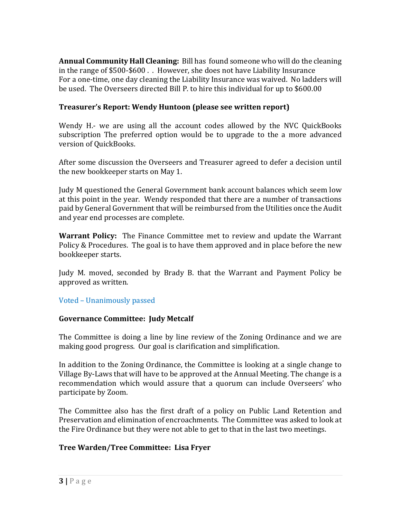**Annual Community Hall Cleaning:** Bill has found someone who will do the cleaning in the range of \$500-\$600 . . However, she does not have Liability Insurance For a one-time, one day cleaning the Liability Insurance was waived. No ladders will be used. The Overseers directed Bill P. to hire this individual for up to \$600.00

# **Treasurer's Report: Wendy Huntoon (please see written report)**

Wendy H.- we are using all the account codes allowed by the NVC QuickBooks subscription The preferred option would be to upgrade to the a more advanced version of QuickBooks.

After some discussion the Overseers and Treasurer agreed to defer a decision until the new bookkeeper starts on May 1.

Judy M questioned the General Government bank account balances which seem low at this point in the year. Wendy responded that there are a number of transactions paid by General Government that will be reimbursed from the Utilities once the Audit and year end processes are complete.

**Warrant Policy:** The Finance Committee met to review and update the Warrant Policy & Procedures. The goal is to have them approved and in place before the new bookkeeper starts.

Judy M. moved, seconded by Brady B. that the Warrant and Payment Policy be approved as written.

Voted – Unanimously passed

# **Governance Committee: Judy Metcalf**

The Committee is doing a line by line review of the Zoning Ordinance and we are making good progress. Our goal is clarification and simplification.

In addition to the Zoning Ordinance, the Committee is looking at a single change to Village By-Laws that will have to be approved at the Annual Meeting. The change is a recommendation which would assure that a quorum can include Overseers' who participate by Zoom.

The Committee also has the first draft of a policy on Public Land Retention and Preservation and elimination of encroachments. The Committee was asked to look at the Fire Ordinance but they were not able to get to that in the last two meetings.

# **Tree Warden/Tree Committee: Lisa Fryer**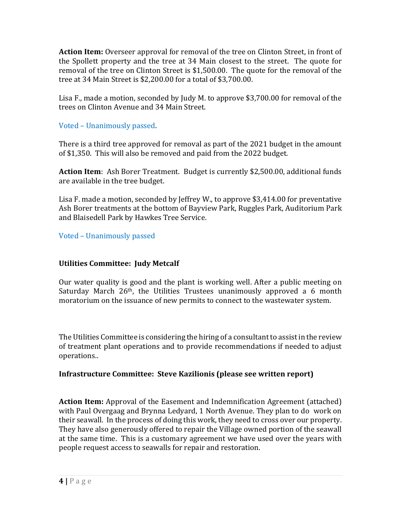**Action Item:** Overseer approval for removal of the tree on Clinton Street, in front of the Spollett property and the tree at 34 Main closest to the street. The quote for removal of the tree on Clinton Street is \$1,500.00. The quote for the removal of the tree at 34 Main Street is \$2,200.00 for a total of \$3,700.00.

Lisa F., made a motion, seconded by Judy M. to approve \$3,700.00 for removal of the trees on Clinton Avenue and 34 Main Street.

Voted – Unanimously passed.

There is a third tree approved for removal as part of the 2021 budget in the amount of \$1,350. This will also be removed and paid from the 2022 budget.

**Action Item**: Ash Borer Treatment. Budget is currently \$2,500.00, additional funds are available in the tree budget.

Lisa F. made a motion, seconded by Jeffrey W., to approve \$3,414.00 for preventative Ash Borer treatments at the bottom of Bayview Park, Ruggles Park, Auditorium Park and Blaisedell Park by Hawkes Tree Service.

Voted – Unanimously passed

# **Utilities Committee: Judy Metcalf**

Our water quality is good and the plant is working well. After a public meeting on Saturday March  $26<sup>th</sup>$ , the Utilities Trustees unanimously approved a 6 month moratorium on the issuance of new permits to connect to the wastewater system.

The Utilities Committee is considering the hiring of a consultant to assist in the review of treatment plant operations and to provide recommendations if needed to adjust operations..

# **Infrastructure Committee: Steve Kazilionis (please see written report)**

**Action Item:** Approval of the Easement and Indemnification Agreement (attached) with Paul Overgaag and Brynna Ledyard, 1 North Avenue. They plan to do work on their seawall. In the process of doing this work, they need to cross over our property. They have also generously offered to repair the Village owned portion of the seawall at the same time. This is a customary agreement we have used over the years with people request access to seawalls for repair and restoration.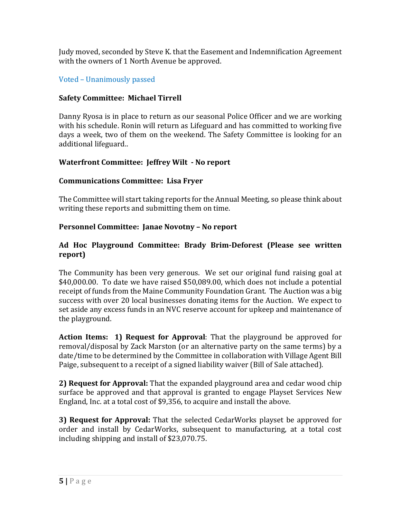Judy moved, seconded by Steve K. that the Easement and Indemnification Agreement with the owners of 1 North Avenue be approved.

# Voted – Unanimously passed

# **Safety Committee: Michael Tirrell**

Danny Ryosa is in place to return as our seasonal Police Officer and we are working with his schedule. Ronin will return as Lifeguard and has committed to working five days a week, two of them on the weekend. The Safety Committee is looking for an additional lifeguard..

# **Waterfront Committee: Jeffrey Wilt ‐ No report**

# **Communications Committee: Lisa Fryer**

The Committee will start taking reports for the Annual Meeting, so please think about writing these reports and submitting them on time.

# **Personnel Committee: Janae Novotny - No report**

### **Ad Hoc Playground Committee: Brady Brim‐Deforest (Please see written report)**

The Community has been very generous. We set our original fund raising goal at \$40,000.00. To date we have raised \$50,089.00, which does not include a potential receipt of funds from the Maine Community Foundation Grant. The Auction was a big success with over 20 local businesses donating items for the Auction. We expect to set aside any excess funds in an NVC reserve account for upkeep and maintenance of the playground.

**Action Items: 1) Request for Approval**: That the playground be approved for removal/disposal by Zack Marston (or an alternative party on the same terms) by a date/time to be determined by the Committee in collaboration with Village Agent Bill Paige, subsequent to a receipt of a signed liability waiver (Bill of Sale attached).

**2) Request for Approval:** That the expanded playground area and cedar wood chip surface be approved and that approval is granted to engage Playset Services New England, Inc. at a total cost of \$9,356, to acquire and install the above.

**3) Request for Approval:** That the selected CedarWorks playset be approved for order and install by CedarWorks, subsequent to manufacturing, at a total cost including shipping and install of \$23,070.75.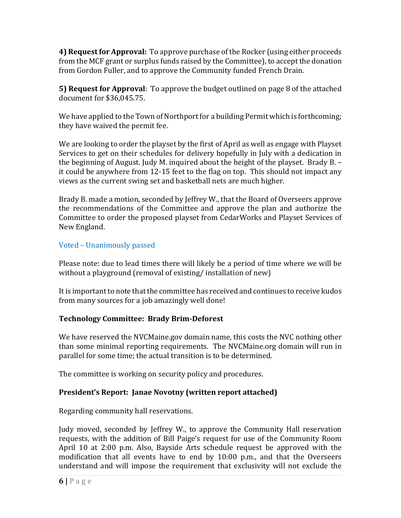**4) Request for Approval:** To approve purchase of the Rocker (using either proceeds from the MCF grant or surplus funds raised by the Committee), to accept the donation from Gordon Fuller, and to approve the Community funded French Drain.

**5) Request for Approval**: To approve the budget outlined on page 8 of the attached document for \$36,045.75.

We have applied to the Town of Northport for a building Permit which is forthcoming; they have waived the permit fee.

We are looking to order the playset by the first of April as well as engage with Playset Services to get on their schedules for delivery hopefully in July with a dedication in the beginning of August. Judy M. inquired about the height of the playset. Brady B. – it could be anywhere from 12-15 feet to the flag on top. This should not impact any views as the current swing set and basketball nets are much higher.

Brady B. made a motion, seconded by Jeffrey W., that the Board of Overseers approve the recommendations of the Committee and approve the plan and authorize the Committee to order the proposed playset from CedarWorks and Playset Services of New England.

# Voted – Unanimously passed

Please note: due to lead times there will likely be a period of time where we will be without a playground (removal of existing/ installation of new)

It is important to note that the committee has received and continues to receive kudos from many sources for a job amazingly well done!

# **Technology Committee: Brady Brim‐Deforest**

We have reserved the NVCMaine.gov domain name, this costs the NVC nothing other than some minimal reporting requirements. The NVCMaine.org domain will run in parallel for some time; the actual transition is to be determined.

The committee is working on security policy and procedures.

# **President's** Report: Janae Novotny (written report attached)

Regarding community hall reservations.

Judy moved, seconded by Jeffrey W., to approve the Community Hall reservation requests, with the addition of Bill Paige's request for use of the Community Room April 10 at 2:00 p.m. Also, Bayside Arts schedule request be approved with the modification that all events have to end by 10:00 p.m., and that the Overseers understand and will impose the requirement that exclusivity will not exclude the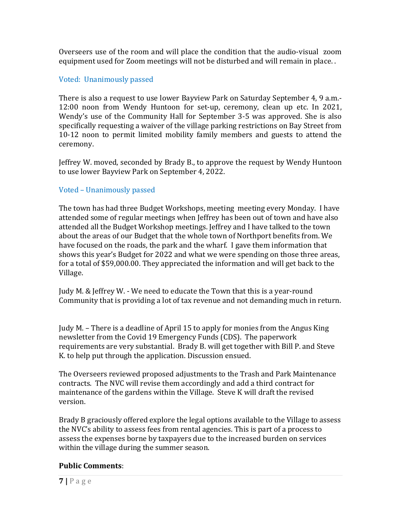Overseers use of the room and will place the condition that the audio-visual zoom equipment used for Zoom meetings will not be disturbed and will remain in place. .

# Voted: Unanimously passed

There is also a request to use lower Bayview Park on Saturday September 4, 9 a.m.- 12:00 noon from Wendy Huntoon for set-up, ceremony, clean up etc. In 2021, Wendy's use of the Community Hall for September 3-5 was approved. She is also specifically requesting a waiver of the village parking restrictions on Bay Street from 10-12 noon to permit limited mobility family members and guests to attend the ceremony.

Jeffrey W. moved, seconded by Brady B., to approve the request by Wendy Huntoon to use lower Bayview Park on September 4, 2022.

# Voted – Unanimously passed

The town has had three Budget Workshops, meeting meeting every Monday. I have attended some of regular meetings when Jeffrey has been out of town and have also attended all the Budget Workshop meetings. Jeffrey and I have talked to the town about the areas of our Budget that the whole town of Northport benefits from. We have focused on the roads, the park and the wharf. I gave them information that shows this year's Budget for 2022 and what we were spending on those three areas, for a total of \$59,000.00. They appreciated the information and will get back to the Village.

Judy M. & Jeffrey W. - We need to educate the Town that this is a year-round Community that is providing a lot of tax revenue and not demanding much in return.

Judy M. – There is a deadline of April 15 to apply for monies from the Angus King newsletter from the Covid 19 Emergency Funds (CDS). The paperwork requirements are very substantial. Brady B. will get together with Bill P. and Steve K. to help put through the application. Discussion ensued.

The Overseers reviewed proposed adjustments to the Trash and Park Maintenance contracts. The NVC will revise them accordingly and add a third contract for maintenance of the gardens within the Village. Steve K will draft the revised version.

Brady B graciously offered explore the legal options available to the Village to assess the NVC's ability to assess fees from rental agencies. This is part of a process to assess the expenses borne by taxpayers due to the increased burden on services within the village during the summer season.

# **Public Comments**: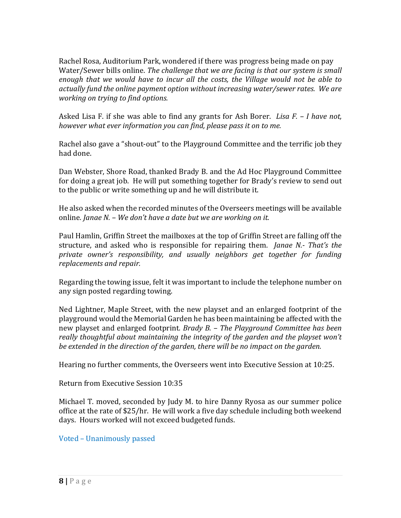Rachel Rosa, Auditorium Park, wondered if there was progress being made on pay Water/Sewer bills online. *The challenge that we are facing is that our system is small enough that we would have to incur all the costs, the Village would not be able to actually fund the online payment option without increasing water/sewer rates. We are working on trying to find options.*

Asked Lisa F. if she was able to find any grants for Ash Borer. *Lisa F. – I have not, however what ever information you can find, please pass it on to me.*

Rachel also gave a "shout-out" to the Playground Committee and the terrific job they had done.

Dan Webster, Shore Road, thanked Brady B. and the Ad Hoc Playground Committee for doing a great job. He will put something together for Brady's review to send out to the public or write something up and he will distribute it.

He also asked when the recorded minutes of the Overseers meetings will be available online*. Janae N. – We don't have a date but we are working on it.*

Paul Hamlin, Griffin Street the mailboxes at the top of Griffin Street are falling off the structure, and asked who is responsible for repairing them. *Janae N.‐ That's the private owner's responsibility, and usually neighbors get together for funding replacements and repair.*

Regarding the towing issue, felt it was important to include the telephone number on any sign posted regarding towing.

Ned Lightner, Maple Street, with the new playset and an enlarged footprint of the playground would the Memorial Garden he has been maintaining be affected with the new playset and enlarged footprint*. Brady B. – The Playground Committee has been really thoughtful about maintaining the integrity of the garden and the playset won't be extended in the direction of the garden, there will be no impact on the garden.*

Hearing no further comments, the Overseers went into Executive Session at 10:25.

Return from Executive Session 10:35

Michael T. moved, seconded by Judy M. to hire Danny Ryosa as our summer police office at the rate of \$25/hr. He will work a five day schedule including both weekend days. Hours worked will not exceed budgeted funds.

Voted – Unanimously passed